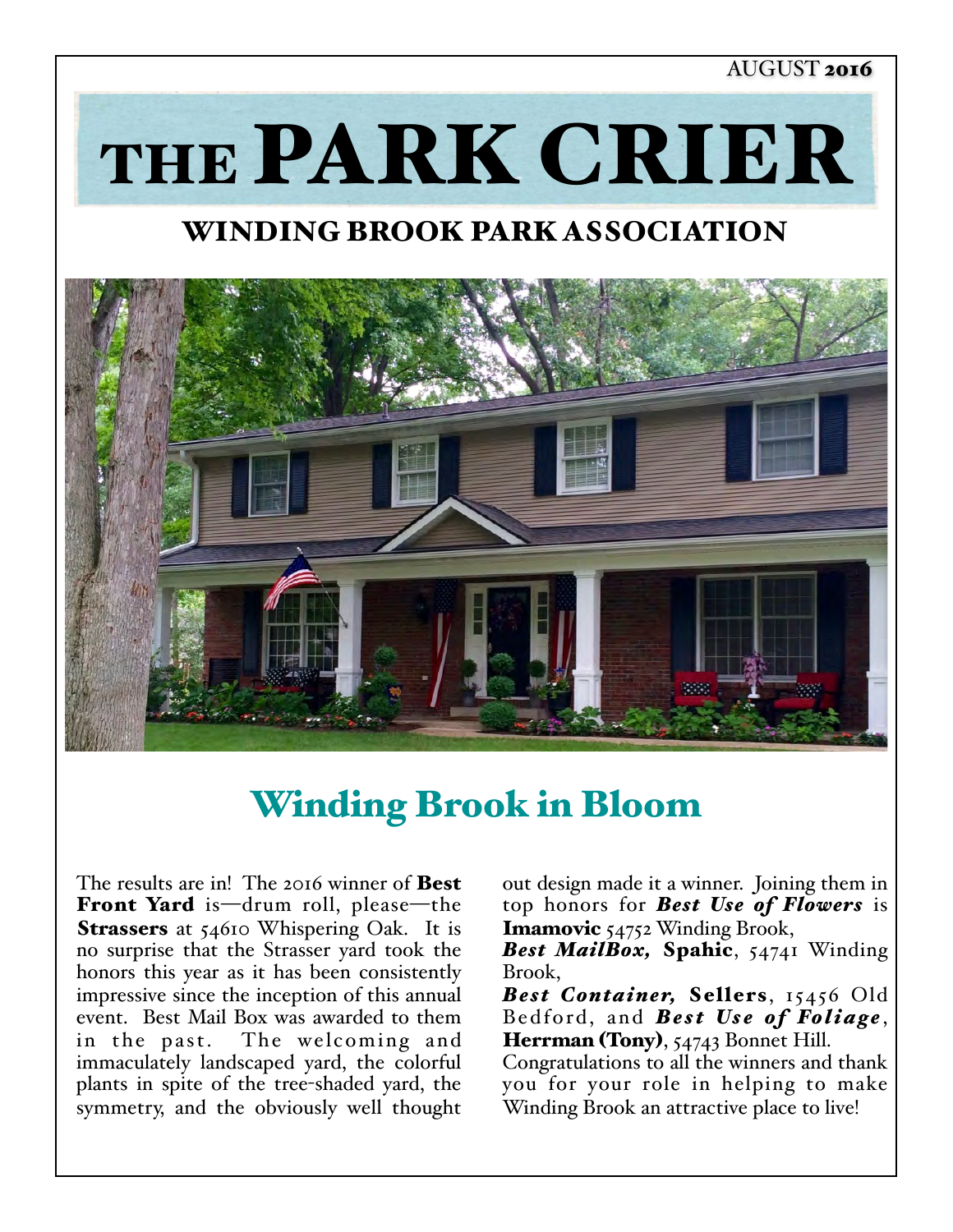#### AUGUST 2016

THE PARK CRIER

## WINDING BROOK PARK ASSOCIATION



# Winding Brook in Bloom

The results are in! The 2016 winner of **Best** Front Yard is—drum roll, please—the Strassers at 54610 Whispering Oak. It is no surprise that the Strasser yard took the honors this year as it has been consistently impressive since the inception of this annual event. Best Mail Box was awarded to them in the past. The welcoming and immaculately landscaped yard, the colorful plants in spite of the tree-shaded yard, the symmetry, and the obviously well thought

out design made it a winner. Joining them in top honors for *Best Use of Flowers* is Imamovic 54752 Winding Brook,

*Best MailBox,* Spahic, 54741 Winding Brook,

*Best Container,* Sellers, 15456 Old Bedford, and **Best Use of Foliage**, Herrman (Tony), 54743 Bonnet Hill.

Congratulations to all the winners and thank you for your role in helping to make Winding Brook an attractive place to live!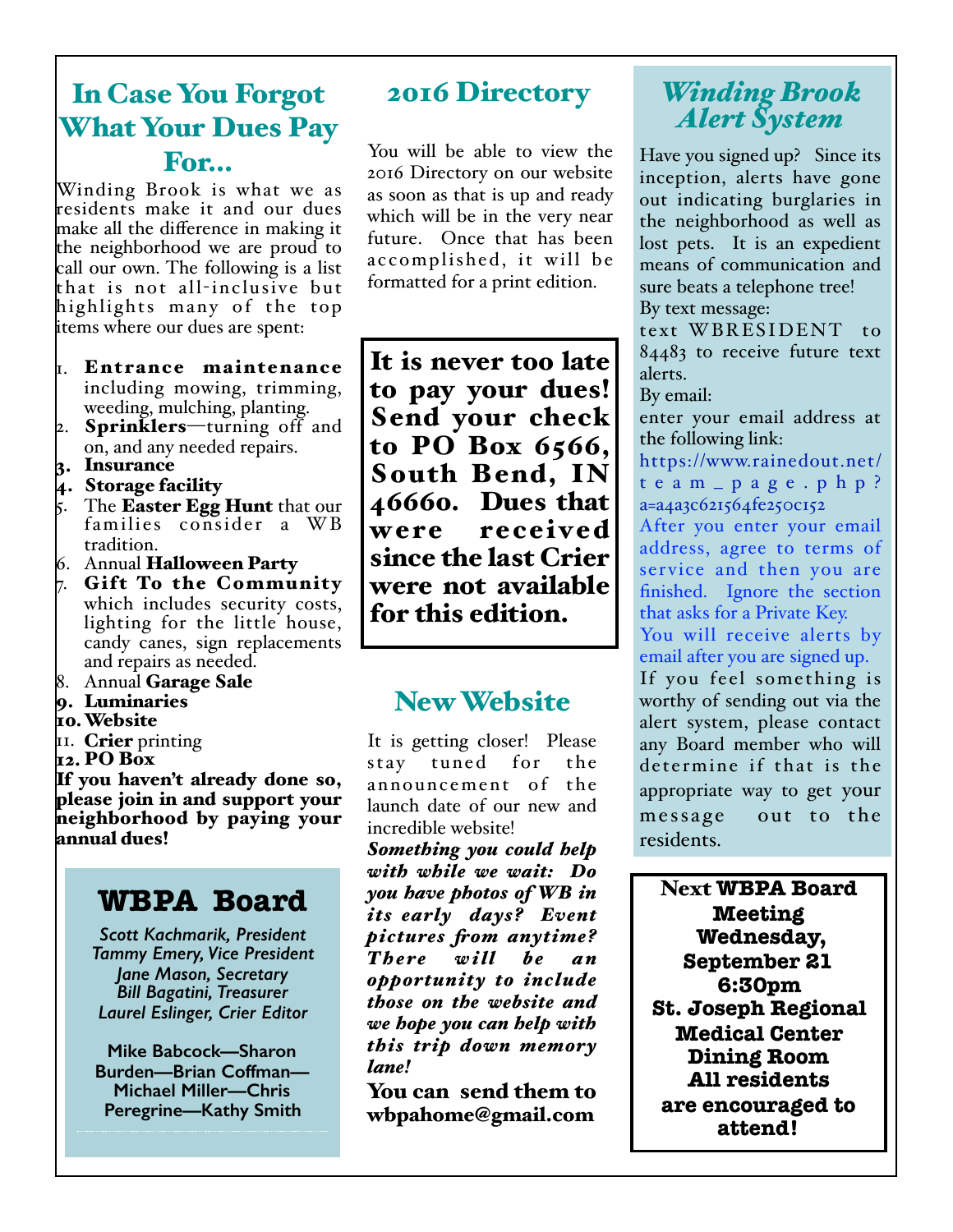## In Case You Forgot What Your Dues Pay For…

Winding Brook is what we as residents make it and our dues make all the difference in making it the neighborhood we are proud to call our own. The following is a list that is not all-inclusive but highlights many of the top items where our dues are spent:

- 1. Entrance maintenance including mowing, trimming, weeding, mulching, planting.
- 2. **Sprinklers**—turning off and on, and any needed repairs.
- 3. Insurance
- 4. Storage facility
- $\beta$ . The **Easter Egg Hunt** that our families consider a WB tradition.
- 6. Annual Halloween Party
- $\sigma$ . Gift To the Community which includes security costs, lighting for the little house, candy canes, sign replacements and repairs as needed.
- 8. Annual Garage Sale
- 9. Luminaries
- 10.Website
- II. Crier printing
- 12. PO Box

If you haven't already done so, please join in and support your neighborhood by paying your annual dues!

## **WBPA Board**

*Scott Kachmarik, President Tammy Emery, Vice President Jane Mason, Secretary Bill Bagatini, Treasurer Laurel Eslinger, Crier Editor* 

**Mike Babcock—Sharon Burden—Brian Coffman— Michael Miller—Chris Peregrine—Kathy Smith**

## 2016 Directory

You will be able to view the 2016 Directory on our website as soon as that is up and ready which will be in the very near future. Once that has been accomplished, it will be formatted for a print edition.

It is never too late to pay your dues! Send your check to PO Box 6566, South Bend, IN 46660. Dues that were received since the last Crier were not available for this edition.

## New Website

It is getting closer! Please stay tuned for the announcement of the launch date of our new and incredible website!

*Something you could help with while we wait: Do you have photos of WB in its early days? Event pictures fom anytime? T h e re w i ll b e a n opportunity to include those on the website and we hope you can help with this trip down memory lane!*

You can send them to wbpahome@gmail.com

## *Winding Brook Alert System*

Have you signed up? Since its inception, alerts have gone out indicating burglaries in the neighborhood as well as lost pets. It is an expedient means of communication and sure beats a telephone tree! By text message:

text WBRESIDENT to 84483 to receive future text alerts.

By email:

enter your email address at the following link:

[https://www.rainedout.net/](https://www.rainedout.net/team_page.php?a=a4a3c621564fe250c152) team\_page.php?

a=a4a3c621564fe250c152 After you enter your email address, agree to terms of service and then you are finished. Ignore the section that asks for a Private Key.

You will receive alerts by email after you are signed up.

If you feel something is worthy of sending out via the alert system, please contact any Board member who will determine if that is the appropriate way to get your message out to the residents.

Next **WBPA Board Meeting Wednesday, September 21 6:30pm St. Joseph Regional Medical Center Dining Room All residents are encouraged to attend!**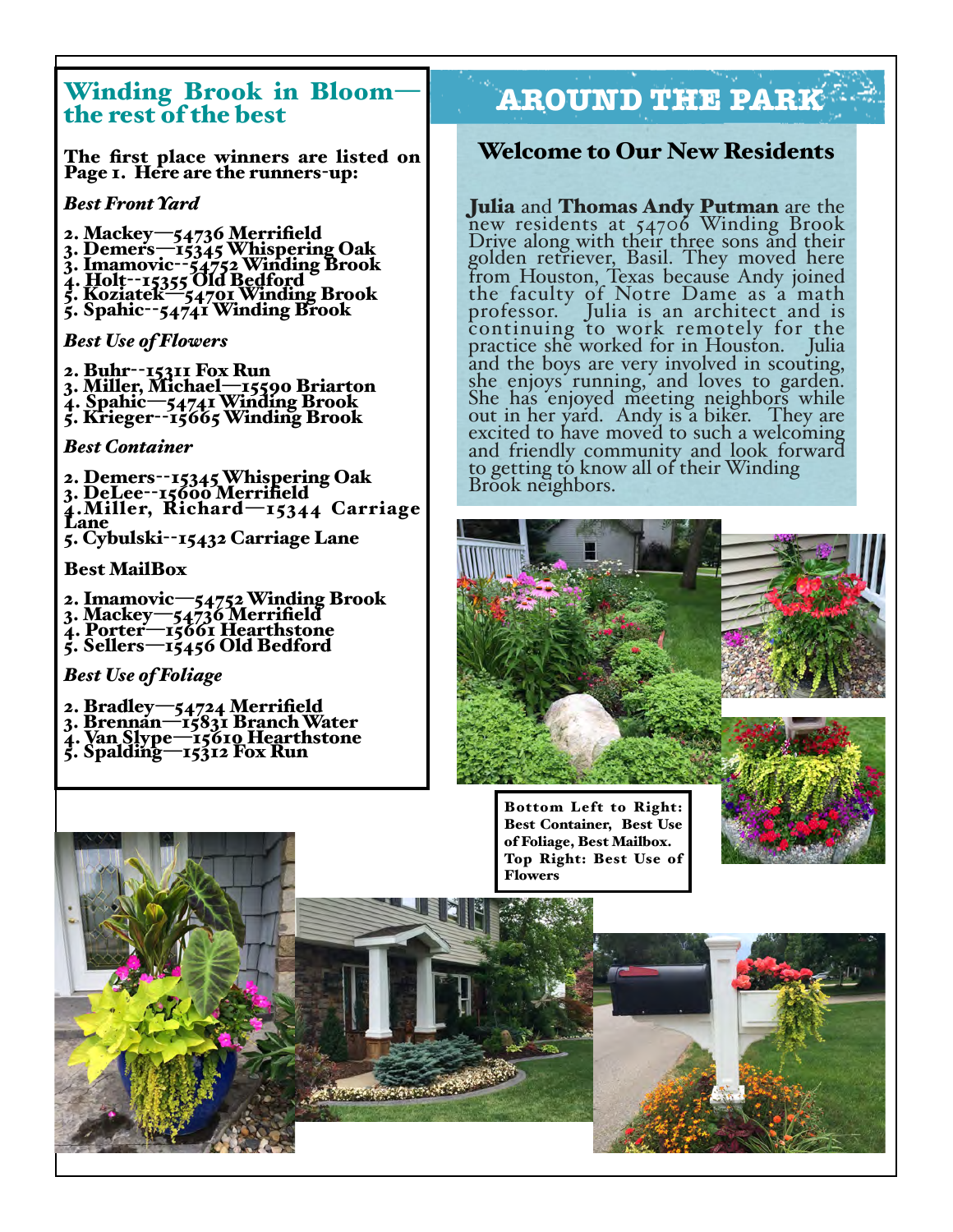# Winding Brook in Bloom-<br>the rest of the best

The first place winners are listed on Page 1. Here are the runners-up:

#### *Best Front Yard*

- 
- 2. Mackey—54736 Merrifield<br>3. Demers—15345 Whispering Oak<br>3. Imamovic--54752 Winding Brook<br>4. Holt--15355 Old Bedford<br>5. Koziatek—54701 Winding Brook<br>5. Spahic--54741 Winding Brook
- 
- 
- 

*Best Use of Flowers*

2. Buhr--15311 Fox Run<br>3. Miller, Michael—15590 Briarton<br>4. Spahic—54741 Winding Brook<br>5. Krieger--15665 Winding Brook

#### *Best Container*

2. Demers--15345 Whispering Oak<br>3. DeLee--15600 Merrifield<br>4.Miller, Richard—15344 Carriage<br>Lane 5. Cybulski--15432 Carriage Lane

#### Best MailBox

2. Imamovic—54752 Winding Brook<br>3. Mackey—54736 Merrifield<br>4. Porter—15661 Hearthstone<br>5. Sellers—15456 Old Bedford

*Best Use of Foliage*

- 2. Bradley—54724 Merrifield 3. Brennan—15831 Branch Water 4. Van Slype—15610 Hearthstone 5. Spalding—15312 Fox Run
- 
- 
- 

## the rest of the best — **AROUND THE PARK**

#### Welcome to Our New Residents

Julia and Thomas Andy Putman are the new residents at 54706 Winding Brook Drive along with their three sons and their golden retriever, Basil. They moved here from Houston, Texas because Andy joined the faculty of Notre Dame as a math professor. Julia is an architect and is continuing to work remotely for the practice she worked for in Houston. Julia and the boys are very involved in scouting, she enjoys running, and loves to garden. She has enjoyed meeting neighbors while<br>out in her yard. Andy is a biker. They are excited to have moved to such a welcoming. and friendly community and look forward to getting to know all of their Winding Brook neighbors.







of Foliage, Best Mailbox. Flowers

**The American State of the American State**